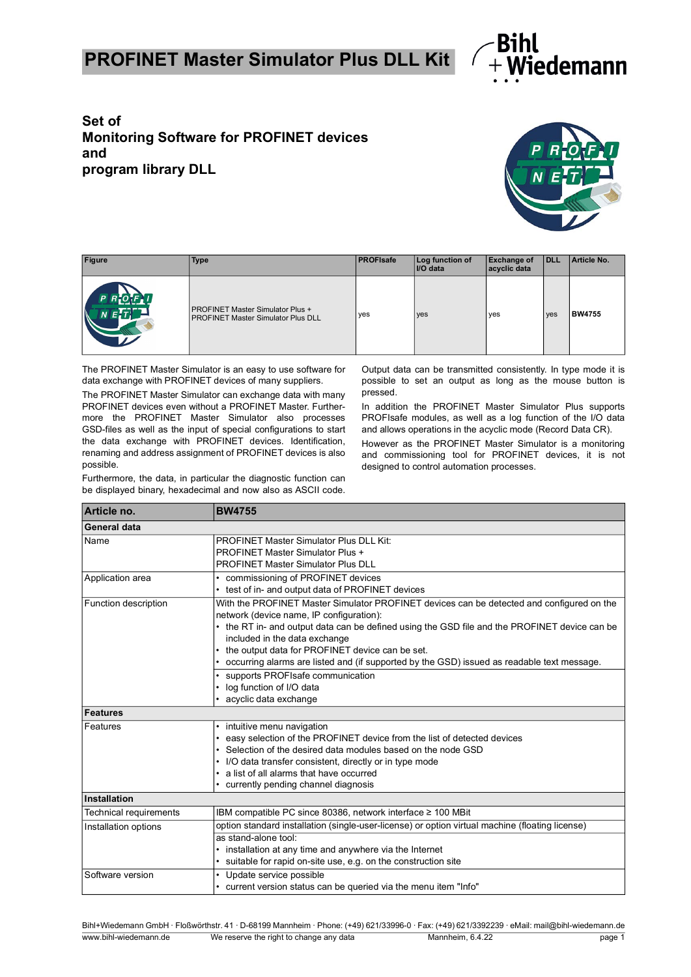## **PROFINET Master Simulator Plus DLL Kit**



## **Set of Monitoring Software for PROFINET devices and program library DLL**



| <b>Figure</b>         | <b>Type</b>                                                                          | <b>PROFIsafe</b> | Log function of<br>I/O data | <b>Exchange of</b><br>acyclic data | <b>IDLL</b> | Article No.   |
|-----------------------|--------------------------------------------------------------------------------------|------------------|-----------------------------|------------------------------------|-------------|---------------|
| P R OF U<br>$\lambda$ | <b>PROFINET Master Simulator Plus +</b><br><b>PROFINET Master Simulator Plus DLL</b> | yes              | yes                         | yes                                | yes         | <b>BW4755</b> |

The PROFINET Master Simulator is an easy to use software for data exchange with PROFINET devices of many suppliers.

The PROFINET Master Simulator can exchange data with many PROFINET devices even without a PROFINET Master. Furthermore the PROFINET Master Simulator also processes GSD-files as well as the input of special configurations to start the data exchange with PROFINET devices. Identification, renaming and address assignment of PROFINET devices is also possible.

Furthermore, the data, in particular the diagnostic function can be displayed binary, hexadecimal and now also as ASCII code.

Output data can be transmitted consistently. In type mode it is possible to set an output as long as the mouse button is pressed.

In addition the PROFINET Master Simulator Plus supports PROFIsafe modules, as well as a log function of the I/O data and allows operations in the acyclic mode (Record Data CR).

However as the PROFINET Master Simulator is a monitoring and commissioning tool for PROFINET devices, it is not designed to control automation processes.

| Article no.            | <b>BW4755</b>                                                                                                                                                                                                                                                                                                                                                                                                                                                                                                   |  |  |
|------------------------|-----------------------------------------------------------------------------------------------------------------------------------------------------------------------------------------------------------------------------------------------------------------------------------------------------------------------------------------------------------------------------------------------------------------------------------------------------------------------------------------------------------------|--|--|
| General data           |                                                                                                                                                                                                                                                                                                                                                                                                                                                                                                                 |  |  |
| Name                   | <b>PROFINET Master Simulator Plus DLL Kit:</b><br><b>PROFINET Master Simulator Plus +</b><br><b>PROFINET Master Simulator Plus DLL</b>                                                                                                                                                                                                                                                                                                                                                                          |  |  |
| Application area       | commissioning of PROFINET devices<br>test of in- and output data of PROFINET devices                                                                                                                                                                                                                                                                                                                                                                                                                            |  |  |
| Function description   | With the PROFINET Master Simulator PROFINET devices can be detected and configured on the<br>network (device name, IP configuration):<br>the RT in- and output data can be defined using the GSD file and the PROFINET device can be<br>included in the data exchange<br>the output data for PROFINET device can be set.<br>occurring alarms are listed and (if supported by the GSD) issued as readable text message.<br>supports PROFIsafe communication<br>log function of I/O data<br>acyclic data exchange |  |  |
| <b>Features</b>        |                                                                                                                                                                                                                                                                                                                                                                                                                                                                                                                 |  |  |
| Features               | intuitive menu navigation<br>easy selection of the PROFINET device from the list of detected devices<br>Selection of the desired data modules based on the node GSD<br>I/O data transfer consistent, directly or in type mode<br>a list of all alarms that have occurred<br>currently pending channel diagnosis                                                                                                                                                                                                 |  |  |
| Installation           |                                                                                                                                                                                                                                                                                                                                                                                                                                                                                                                 |  |  |
| Technical requirements | IBM compatible PC since 80386, network interface ≥ 100 MBit                                                                                                                                                                                                                                                                                                                                                                                                                                                     |  |  |
| Installation options   | option standard installation (single-user-license) or option virtual machine (floating license)<br>as stand-alone tool:<br>installation at any time and anywhere via the Internet<br>suitable for rapid on-site use, e.g. on the construction site                                                                                                                                                                                                                                                              |  |  |
| Software version       | Update service possible<br>$\bullet$<br>current version status can be queried via the menu item "Info"                                                                                                                                                                                                                                                                                                                                                                                                          |  |  |

Bihl+Wiedemann GmbH · Floßwörthstr. 41 · D-68199 Mannheim · Phone: (+49) 621/33996-0 · Fax: (+49) 621/3392239 · eMail: mail@bihl-wiedemann.de www.bihl-wiedemann.de We reserve the right to change any data Mannheim, 6.4.22 page 1